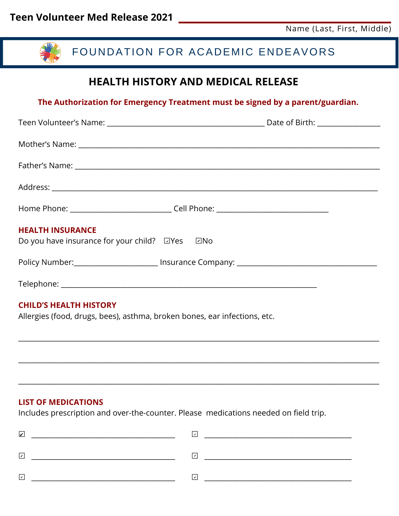

## **LIST OF MEDICATIONS**

Includes prescription and over-the-counter. Please medications needed on field trip.

| ☑                       | ◡                        |
|-------------------------|--------------------------|
| ١v                      | $\overline{\phantom{a}}$ |
| $\mathsf{I} \mathsf{v}$ | $\checkmark$             |

\_\_\_\_\_\_\_\_\_\_\_\_\_\_\_\_\_\_\_\_\_\_\_\_\_\_\_\_\_\_\_\_\_\_\_\_\_\_\_\_\_\_\_\_\_\_\_\_\_\_\_\_\_\_\_\_\_\_\_\_\_\_\_\_\_\_\_\_\_\_\_\_\_\_\_\_\_\_\_\_\_\_\_\_\_\_\_\_\_\_\_\_\_\_\_\_\_\_\_\_\_\_\_

\_\_\_\_\_\_\_\_\_\_\_\_\_\_\_\_\_\_\_\_\_\_\_\_\_\_\_\_\_\_\_\_\_\_\_\_\_\_\_\_\_\_\_\_\_\_\_\_\_\_\_\_\_\_\_\_\_\_\_\_\_\_\_\_\_\_\_\_\_\_\_\_\_\_\_\_\_\_\_\_\_\_\_\_\_\_\_\_\_\_\_\_\_\_\_\_\_\_\_\_\_\_\_